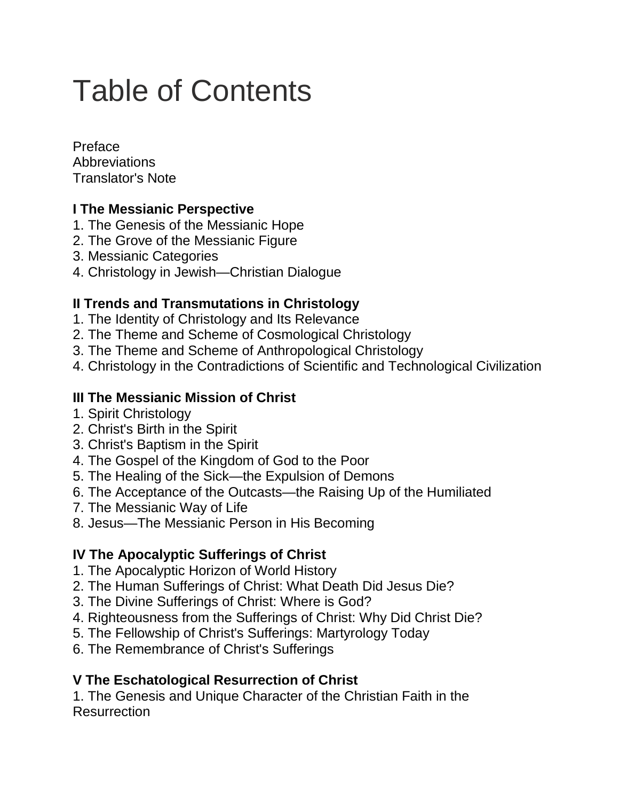# Table of Contents

Preface **Abbreviations** Translator's Note

# **I The Messianic Perspective**

- 1. The Genesis of the Messianic Hope
- 2. The Grove of the Messianic Figure
- 3. Messianic Categories
- 4. Christology in Jewish—Christian Dialogue

### **II Trends and Transmutations in Christology**

- 1. The Identity of Christology and Its Relevance
- 2. The Theme and Scheme of Cosmological Christology
- 3. The Theme and Scheme of Anthropological Christology
- 4. Christology in the Contradictions of Scientific and Technological Civilization

#### **III The Messianic Mission of Christ**

- 1. Spirit Christology
- 2. Christ's Birth in the Spirit
- 3. Christ's Baptism in the Spirit
- 4. The Gospel of the Kingdom of God to the Poor
- 5. The Healing of the Sick—the Expulsion of Demons
- 6. The Acceptance of the Outcasts—the Raising Up of the Humiliated
- 7. The Messianic Way of Life
- 8. Jesus—The Messianic Person in His Becoming

# **IV The Apocalyptic Sufferings of Christ**

- 1. The Apocalyptic Horizon of World History
- 2. The Human Sufferings of Christ: What Death Did Jesus Die?
- 3. The Divine Sufferings of Christ: Where is God?
- 4. Righteousness from the Sufferings of Christ: Why Did Christ Die?
- 5. The Fellowship of Christ's Sufferings: Martyrology Today
- 6. The Remembrance of Christ's Sufferings

# **V The Eschatological Resurrection of Christ**

1. The Genesis and Unique Character of the Christian Faith in the **Resurrection**